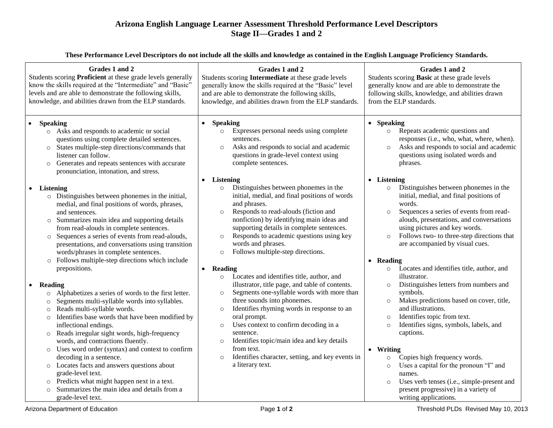## **Arizona English Language Learner Assessment Threshold Performance Level Descriptors Stage II—Grades 1 and 2**

| These Performance Level Descriptors do not include all the skills and knowledge as contained in the English Language Proficiency Standards. |  |  |
|---------------------------------------------------------------------------------------------------------------------------------------------|--|--|
|                                                                                                                                             |  |  |

| Grades 1 and 2<br>Students scoring Proficient at these grade levels generally<br>know the skills required at the "Intermediate" and "Basic"<br>levels and are able to demonstrate the following skills,<br>knowledge, and abilities drawn from the ELP standards.                                                                                                                                                                                                                                                                                                                                                                                                                                                                                                                                                                                                                                                                                                                                                                                                                                                                                                     | Grades 1 and 2<br>Students scoring Intermediate at these grade levels<br>generally know the skills required at the "Basic" level<br>and are able to demonstrate the following skills,<br>knowledge, and abilities drawn from the ELP standards.                                                                                                                                                                                                                                                                                                                                                                                                                                                                                                                                                                                                                                                                                | Grades 1 and 2<br>Students scoring Basic at these grade levels<br>generally know and are able to demonstrate the<br>following skills, knowledge, and abilities drawn<br>from the ELP standards.                                                                                                                                                                                                                                                                                                                                                                                                                                                                                                                                                                                                                                                                                                                            |  |
|-----------------------------------------------------------------------------------------------------------------------------------------------------------------------------------------------------------------------------------------------------------------------------------------------------------------------------------------------------------------------------------------------------------------------------------------------------------------------------------------------------------------------------------------------------------------------------------------------------------------------------------------------------------------------------------------------------------------------------------------------------------------------------------------------------------------------------------------------------------------------------------------------------------------------------------------------------------------------------------------------------------------------------------------------------------------------------------------------------------------------------------------------------------------------|--------------------------------------------------------------------------------------------------------------------------------------------------------------------------------------------------------------------------------------------------------------------------------------------------------------------------------------------------------------------------------------------------------------------------------------------------------------------------------------------------------------------------------------------------------------------------------------------------------------------------------------------------------------------------------------------------------------------------------------------------------------------------------------------------------------------------------------------------------------------------------------------------------------------------------|----------------------------------------------------------------------------------------------------------------------------------------------------------------------------------------------------------------------------------------------------------------------------------------------------------------------------------------------------------------------------------------------------------------------------------------------------------------------------------------------------------------------------------------------------------------------------------------------------------------------------------------------------------------------------------------------------------------------------------------------------------------------------------------------------------------------------------------------------------------------------------------------------------------------------|--|
| <b>Speaking</b><br>o Asks and responds to academic or social<br>questions using complete detailed sentences.<br>States multiple-step directions/commands that<br>$\circ$<br>listener can follow.<br>Generates and repeats sentences with accurate<br>$\circ$<br>pronunciation, intonation, and stress.                                                                                                                                                                                                                                                                                                                                                                                                                                                                                                                                                                                                                                                                                                                                                                                                                                                                | <b>Speaking</b><br>Expresses personal needs using complete<br>$\circ$<br>sentences.<br>Asks and responds to social and academic<br>$\circ$<br>questions in grade-level context using<br>complete sentences.                                                                                                                                                                                                                                                                                                                                                                                                                                                                                                                                                                                                                                                                                                                    | • Speaking<br>Repeats academic questions and<br>$\circ$<br>responses (i.e., who, what, where, when).<br>Asks and responds to social and academic<br>$\circ$<br>questions using isolated words and<br>phrases.                                                                                                                                                                                                                                                                                                                                                                                                                                                                                                                                                                                                                                                                                                              |  |
| <b>Listening</b><br>$\bullet$<br>o Distinguishes between phonemes in the initial,<br>medial, and final positions of words, phrases,<br>and sentences.<br>Summarizes main idea and supporting details<br>$\circ$<br>from read-alouds in complete sentences.<br>Sequences a series of events from read-alouds,<br>$\circ$<br>presentations, and conversations using transition<br>words/phrases in complete sentences.<br>Follows multiple-step directions which include<br>$\circ$<br>prepositions.<br>Reading<br>Alphabetizes a series of words to the first letter.<br>$\circ$<br>Segments multi-syllable words into syllables.<br>$\circ$<br>Reads multi-syllable words.<br>$\circ$<br>Identifies base words that have been modified by<br>$\circ$<br>inflectional endings.<br>Reads irregular sight words, high-frequency<br>$\circ$<br>words, and contractions fluently.<br>Uses word order (syntax) and context to confirm<br>$\circ$<br>decoding in a sentence.<br>Locates facts and answers questions about<br>$\circ$<br>grade-level text.<br>Predicts what might happen next in a text.<br>$\circ$<br>Summarizes the main idea and details from a<br>$\circ$ | • Listening<br>Distinguishes between phonemes in the<br>$\circ$<br>initial, medial, and final positions of words<br>and phrases.<br>Responds to read-alouds (fiction and<br>$\circ$<br>nonfiction) by identifying main ideas and<br>supporting details in complete sentences.<br>Responds to academic questions using key<br>$\circ$<br>words and phrases.<br>Follows multiple-step directions.<br>$\circ$<br>• Reading<br>Locates and identifies title, author, and<br>$\circ$<br>illustrator, title page, and table of contents.<br>Segments one-syllable words with more than<br>$\circ$<br>three sounds into phonemes.<br>Identifies rhyming words in response to an<br>$\circ$<br>oral prompt.<br>Uses context to confirm decoding in a<br>$\circ$<br>sentence.<br>Identifies topic/main idea and key details<br>$\circ$<br>from text.<br>Identifies character, setting, and key events in<br>$\circ$<br>a literary text. | • Listening<br>Distinguishes between phonemes in the<br>$\circ$<br>initial, medial, and final positions of<br>words.<br>Sequences a series of events from read-<br>$\circ$<br>alouds, presentations, and conversations<br>using pictures and key words.<br>Follows two- to three-step directions that<br>$\circ$<br>are accompanied by visual cues.<br>• Reading<br>Locates and identifies title, author, and<br>$\circ$<br>illustrator.<br>Distinguishes letters from numbers and<br>$\circ$<br>symbols.<br>Makes predictions based on cover, title,<br>$\circ$<br>and illustrations.<br>Identifies topic from text.<br>$\circ$<br>Identifies signs, symbols, labels, and<br>$\circ$<br>captions.<br>• Writing<br>Copies high frequency words.<br>$\circ$<br>Uses a capital for the pronoun "I" and<br>$\circ$<br>names.<br>Uses verb tenses (i.e., simple-present and<br>$\circ$<br>present progressive) in a variety of |  |